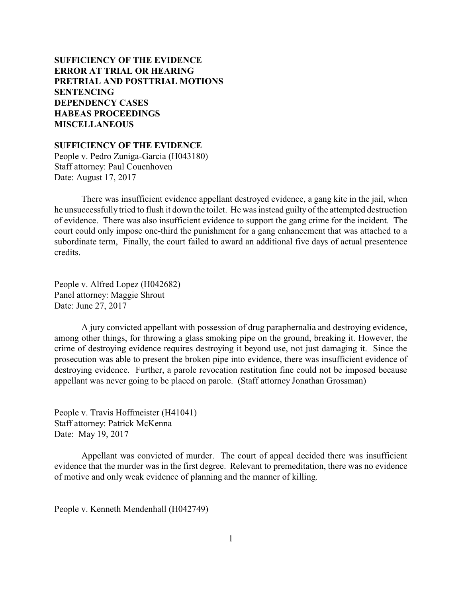# **SUFFICIENCY OF THE EVIDENCE [ERROR AT TRIAL OR HEARING](#page-1-0) [PRETRIAL AND POSTTRIAL MOTIONS](#page-2-0) [SENTENCING](#page-8-0) [DEPENDENCY CASES](#page-20-0) [HABEAS PROCEEDINGS](#page-21-0)  [MISCELLANEOUS](#page-21-0)**

**SUFFICIENCY OF THE EVIDENCE**

People v. Pedro Zuniga-Garcia (H043180) Staff attorney: Paul Couenhoven Date: August 17, 2017

There was insufficient evidence appellant destroyed evidence, a gang kite in the jail, when he unsuccessfully tried to flush it down the toilet. He was instead guilty of the attempted destruction of evidence. There was also insufficient evidence to support the gang crime for the incident. The court could only impose one-third the punishment for a gang enhancement that was attached to a subordinate term, Finally, the court failed to award an additional five days of actual presentence credits.

People v. Alfred Lopez (H042682) Panel attorney: Maggie Shrout Date: June 27, 2017

A jury convicted appellant with possession of drug paraphernalia and destroying evidence, among other things, for throwing a glass smoking pipe on the ground, breaking it. However, the crime of destroying evidence requires destroying it beyond use, not just damaging it. Since the prosecution was able to present the broken pipe into evidence, there was insufficient evidence of destroying evidence. Further, a parole revocation restitution fine could not be imposed because appellant was never going to be placed on parole. (Staff attorney Jonathan Grossman)

People v. Travis Hoffmeister (H41041) Staff attorney: Patrick McKenna Date: May 19, 2017

Appellant was convicted of murder. The court of appeal decided there was insufficient evidence that the murder was in the first degree. Relevant to premeditation, there was no evidence of motive and only weak evidence of planning and the manner of killing.

People v. Kenneth Mendenhall (H042749)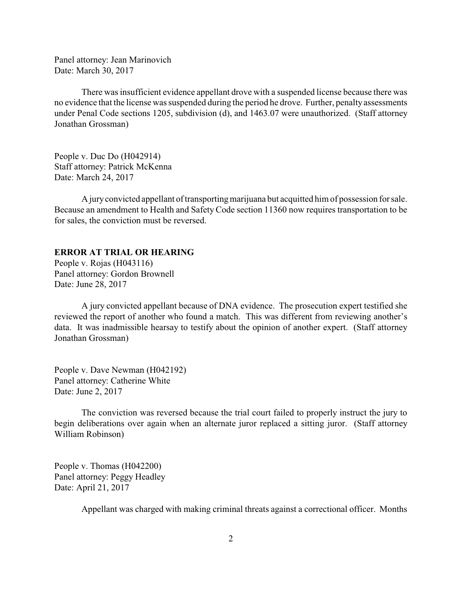<span id="page-1-0"></span>Panel attorney: Jean Marinovich Date: March 30, 2017

There was insufficient evidence appellant drove with a suspended license because there was no evidence that the license was suspended during the period he drove. Further, penalty assessments under Penal Code sections 1205, subdivision (d), and 1463.07 were unauthorized. (Staff attorney Jonathan Grossman)

People v. Duc Do (H042914) Staff attorney: Patrick McKenna Date: March 24, 2017

A juryconvicted appellant of transportingmarijuana but acquitted him of possession for sale. Because an amendment to Health and Safety Code section 11360 now requires transportation to be for sales, the conviction must be reversed.

#### **ERROR AT TRIAL OR HEARING**

People v. Rojas (H043116) Panel attorney: Gordon Brownell Date: June 28, 2017

A jury convicted appellant because of DNA evidence. The prosecution expert testified she reviewed the report of another who found a match. This was different from reviewing another's data. It was inadmissible hearsay to testify about the opinion of another expert. (Staff attorney Jonathan Grossman)

People v. Dave Newman (H042192) Panel attorney: Catherine White Date: June 2, 2017

The conviction was reversed because the trial court failed to properly instruct the jury to begin deliberations over again when an alternate juror replaced a sitting juror. (Staff attorney William Robinson)

People v. Thomas (H042200) Panel attorney: Peggy Headley Date: April 21, 2017

Appellant was charged with making criminal threats against a correctional officer. Months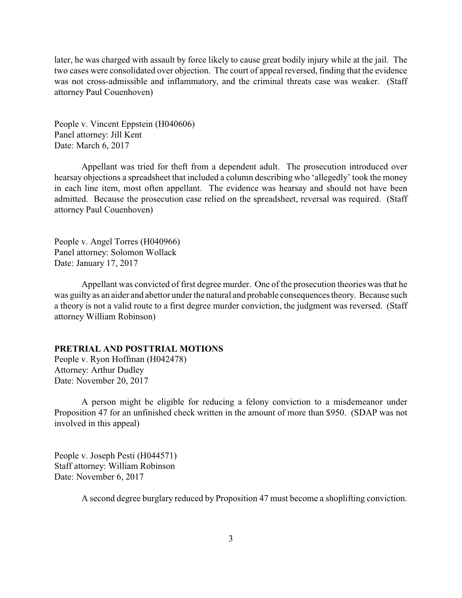<span id="page-2-0"></span>later, he was charged with assault by force likely to cause great bodily injury while at the jail. The two cases were consolidated over objection. The court of appeal reversed, finding that the evidence was not cross-admissible and inflammatory, and the criminal threats case was weaker. (Staff attorney Paul Couenhoven)

People v. Vincent Eppstein (H040606) Panel attorney: Jill Kent Date: March 6, 2017

Appellant was tried for theft from a dependent adult. The prosecution introduced over hearsay objections a spreadsheet that included a column describing who 'allegedly' took the money in each line item, most often appellant. The evidence was hearsay and should not have been admitted. Because the prosecution case relied on the spreadsheet, reversal was required. (Staff attorney Paul Couenhoven)

People v. Angel Torres (H040966) Panel attorney: Solomon Wollack Date: January 17, 2017

Appellant was convicted of first degree murder. One of the prosecution theories was that he was guilty as an aider and abettor under the natural and probable consequences theory. Because such a theory is not a valid route to a first degree murder conviction, the judgment was reversed. (Staff attorney William Robinson)

### **PRETRIAL AND POSTTRIAL MOTIONS**

People v. Ryon Hoffman (H042478) Attorney: Arthur Dudley Date: November 20, 2017

A person might be eligible for reducing a felony conviction to a misdemeanor under Proposition 47 for an unfinished check written in the amount of more than \$950. (SDAP was not involved in this appeal)

People v. Joseph Pesti (H044571) Staff attorney: William Robinson Date: November 6, 2017

A second degree burglary reduced by Proposition 47 must become a shoplifting conviction.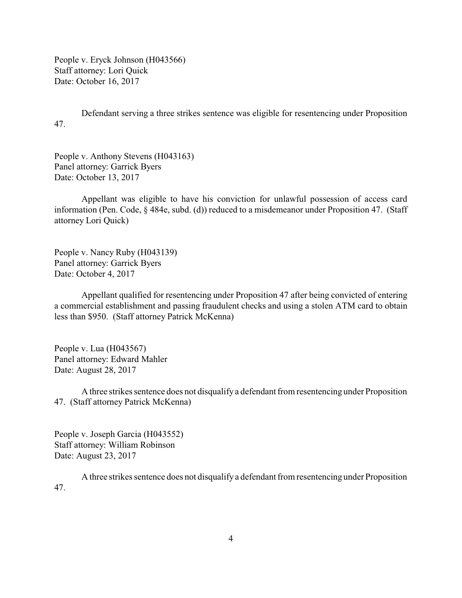People v. Eryck Johnson (H043566) Staff attorney: Lori Quick Date: October 16, 2017

Defendant serving a three strikes sentence was eligible for resentencing under Proposition 47.

People v. Anthony Stevens (H043163) Panel attorney: Garrick Byers Date: October 13, 2017

Appellant was eligible to have his conviction for unlawful possession of access card information (Pen. Code, § 484e, subd. (d)) reduced to a misdemeanor under Proposition 47. (Staff attorney Lori Quick)

People v. Nancy Ruby (H043139) Panel attorney: Garrick Byers Date: October 4, 2017

Appellant qualified for resentencing under Proposition 47 after being convicted of entering a commercial establishment and passing fraudulent checks and using a stolen ATM card to obtain less than \$950. (Staff attorney Patrick McKenna)

People v. Lua (H043567) Panel attorney: Edward Mahler Date: August 28, 2017

A three strikes sentence does not disqualify a defendant from resentencing under Proposition 47. (Staff attorney Patrick McKenna)

People v. Joseph Garcia (H043552) Staff attorney: William Robinson Date: August 23, 2017

A three strikes sentence does not disqualify a defendant from resentencing under Proposition 47.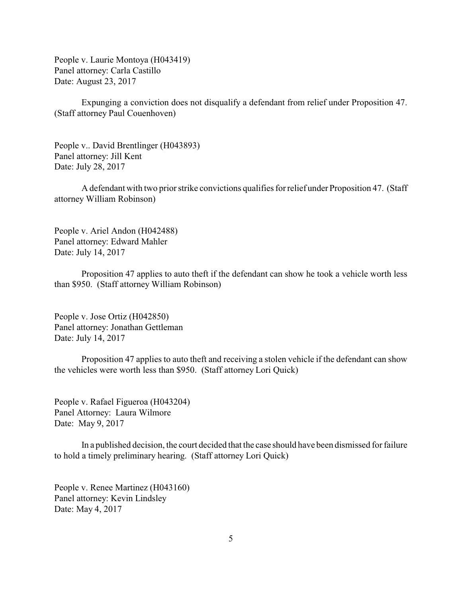People v. Laurie Montoya (H043419) Panel attorney: Carla Castillo Date: August 23, 2017

Expunging a conviction does not disqualify a defendant from relief under Proposition 47. (Staff attorney Paul Couenhoven)

People v.. David Brentlinger (H043893) Panel attorney: Jill Kent Date: July 28, 2017

A defendant with two prior strike convictions qualifies for relief under Proposition 47. (Staff attorney William Robinson)

People v. Ariel Andon (H042488) Panel attorney: Edward Mahler Date: July 14, 2017

Proposition 47 applies to auto theft if the defendant can show he took a vehicle worth less than \$950. (Staff attorney William Robinson)

People v. Jose Ortiz (H042850) Panel attorney: Jonathan Gettleman Date: July 14, 2017

Proposition 47 applies to auto theft and receiving a stolen vehicle if the defendant can show the vehicles were worth less than \$950. (Staff attorney Lori Quick)

People v. Rafael Figueroa (H043204) Panel Attorney: Laura Wilmore Date: May 9, 2017

In a published decision, the court decided that the case should have been dismissed for failure to hold a timely preliminary hearing. (Staff attorney Lori Quick)

People v. Renee Martinez (H043160) Panel attorney: Kevin Lindsley Date: May 4, 2017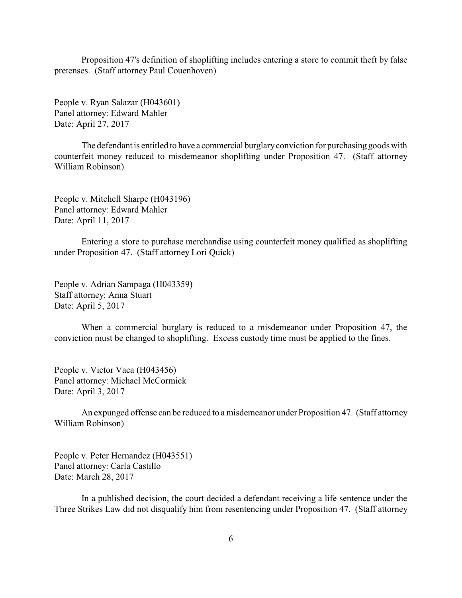Proposition 47's definition of shoplifting includes entering a store to commit theft by false pretenses. (Staff attorney Paul Couenhoven)

People v. Ryan Salazar (H043601) Panel attorney: Edward Mahler Date: April 27, 2017

The defendant is entitled to have a commercial burglaryconviction for purchasing goods with counterfeit money reduced to misdemeanor shoplifting under Proposition 47. (Staff attorney William Robinson)

People v. Mitchell Sharpe (H043196) Panel attorney: Edward Mahler Date: April 11, 2017

Entering a store to purchase merchandise using counterfeit money qualified as shoplifting under Proposition 47. (Staff attorney Lori Quick)

People v. Adrian Sampaga (H043359) Staff attorney: Anna Stuart Date: April 5, 2017

When a commercial burglary is reduced to a misdemeanor under Proposition 47, the conviction must be changed to shoplifting. Excess custody time must be applied to the fines.

People v. Victor Vaca (H043456) Panel attorney: Michael McCormick Date: April 3, 2017

An expunged offense can be reduced to a misdemeanor under Proposition 47. (Staff attorney William Robinson)

People v. Peter Hernandez (H043551) Panel attorney: Carla Castillo Date: March 28, 2017

In a published decision, the court decided a defendant receiving a life sentence under the Three Strikes Law did not disqualify him from resentencing under Proposition 47. (Staff attorney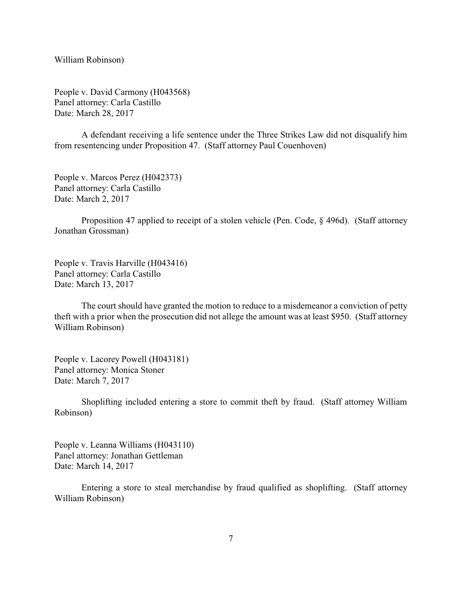William Robinson)

People v. David Carmony (H043568) Panel attorney: Carla Castillo Date: March 28, 2017

A defendant receiving a life sentence under the Three Strikes Law did not disqualify him from resentencing under Proposition 47. (Staff attorney Paul Couenhoven)

People v. Marcos Perez (H042373) Panel attorney: Carla Castillo Date: March 2, 2017

Proposition 47 applied to receipt of a stolen vehicle (Pen. Code, § 496d). (Staff attorney Jonathan Grossman)

People v. Travis Harville (H043416) Panel attorney: Carla Castillo Date: March 13, 2017

The court should have granted the motion to reduce to a misdemeanor a conviction of petty theft with a prior when the prosecution did not allege the amount was at least \$950. (Staff attorney William Robinson)

People v. Lacorey Powell (H043181) Panel attorney: Monica Stoner Date: March 7, 2017

Shoplifting included entering a store to commit theft by fraud. (Staff attorney William Robinson)

People v. Leanna Williams (H043110) Panel attorney: Jonathan Gettleman Date: March 14, 2017

Entering a store to steal merchandise by fraud qualified as shoplifting. (Staff attorney William Robinson)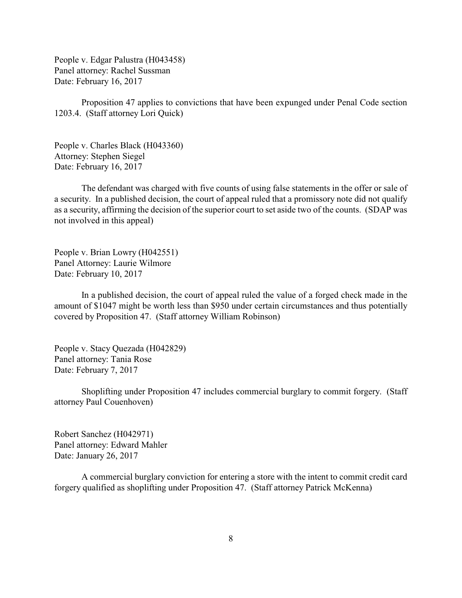People v. Edgar Palustra (H043458) Panel attorney: Rachel Sussman Date: February 16, 2017

Proposition 47 applies to convictions that have been expunged under Penal Code section 1203.4. (Staff attorney Lori Quick)

People v. Charles Black (H043360) Attorney: Stephen Siegel Date: February 16, 2017

The defendant was charged with five counts of using false statements in the offer or sale of a security. In a published decision, the court of appeal ruled that a promissory note did not qualify as a security, affirming the decision of the superior court to set aside two of the counts. (SDAP was not involved in this appeal)

People v. Brian Lowry (H042551) Panel Attorney: Laurie Wilmore Date: February 10, 2017

In a published decision, the court of appeal ruled the value of a forged check made in the amount of \$1047 might be worth less than \$950 under certain circumstances and thus potentially covered by Proposition 47. (Staff attorney William Robinson)

People v. Stacy Quezada (H042829) Panel attorney: Tania Rose Date: February 7, 2017

Shoplifting under Proposition 47 includes commercial burglary to commit forgery. (Staff attorney Paul Couenhoven)

Robert Sanchez (H042971) Panel attorney: Edward Mahler Date: January 26, 2017

A commercial burglary conviction for entering a store with the intent to commit credit card forgery qualified as shoplifting under Proposition 47. (Staff attorney Patrick McKenna)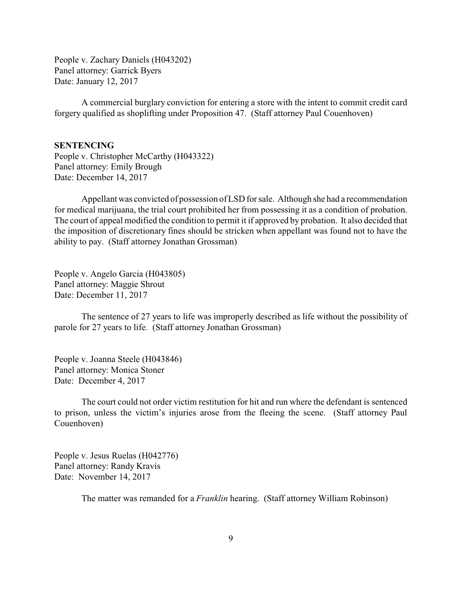<span id="page-8-0"></span>People v. Zachary Daniels (H043202) Panel attorney: Garrick Byers Date: January 12, 2017

A commercial burglary conviction for entering a store with the intent to commit credit card forgery qualified as shoplifting under Proposition 47. (Staff attorney Paul Couenhoven)

### **SENTENCING**

People v. Christopher McCarthy (H043322) Panel attorney: Emily Brough Date: December 14, 2017

Appellant was convicted of possession of LSD for sale. Although she had a recommendation for medical marijuana, the trial court prohibited her from possessing it as a condition of probation. The court of appeal modified the condition to permit it if approved by probation. It also decided that the imposition of discretionary fines should be stricken when appellant was found not to have the ability to pay. (Staff attorney Jonathan Grossman)

People v. Angelo Garcia (H043805) Panel attorney: Maggie Shrout Date: December 11, 2017

The sentence of 27 years to life was improperly described as life without the possibility of parole for 27 years to life. (Staff attorney Jonathan Grossman)

People v. Joanna Steele (H043846) Panel attorney: Monica Stoner Date: December 4, 2017

The court could not order victim restitution for hit and run where the defendant is sentenced to prison, unless the victim's injuries arose from the fleeing the scene. (Staff attorney Paul Couenhoven)

People v. Jesus Ruelas (H042776) Panel attorney: Randy Kravis Date: November 14, 2017

The matter was remanded for a *Franklin* hearing. (Staff attorney William Robinson)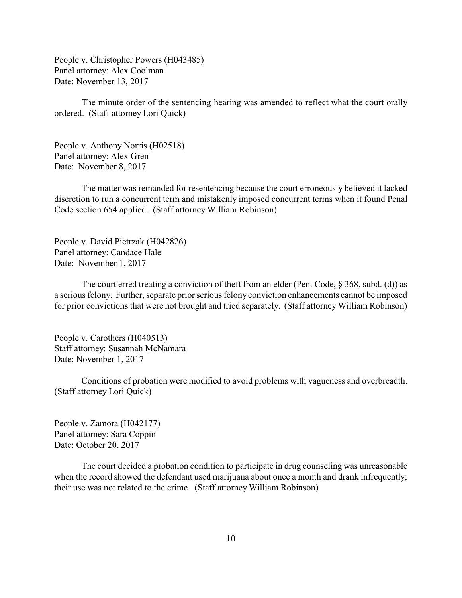People v. Christopher Powers (H043485) Panel attorney: Alex Coolman Date: November 13, 2017

The minute order of the sentencing hearing was amended to reflect what the court orally ordered. (Staff attorney Lori Quick)

People v. Anthony Norris (H02518) Panel attorney: Alex Gren Date: November 8, 2017

The matter was remanded for resentencing because the court erroneously believed it lacked discretion to run a concurrent term and mistakenly imposed concurrent terms when it found Penal Code section 654 applied. (Staff attorney William Robinson)

People v. David Pietrzak (H042826) Panel attorney: Candace Hale Date: November 1, 2017

The court erred treating a conviction of theft from an elder (Pen. Code,  $\S$  368, subd. (d)) as a serious felony. Further, separate prior serious felony conviction enhancements cannot be imposed for prior convictions that were not brought and tried separately. (Staff attorney William Robinson)

People v. Carothers (H040513) Staff attorney: Susannah McNamara Date: November 1, 2017

Conditions of probation were modified to avoid problems with vagueness and overbreadth. (Staff attorney Lori Quick)

People v. Zamora (H042177) Panel attorney: Sara Coppin Date: October 20, 2017

The court decided a probation condition to participate in drug counseling was unreasonable when the record showed the defendant used marijuana about once a month and drank infrequently; their use was not related to the crime. (Staff attorney William Robinson)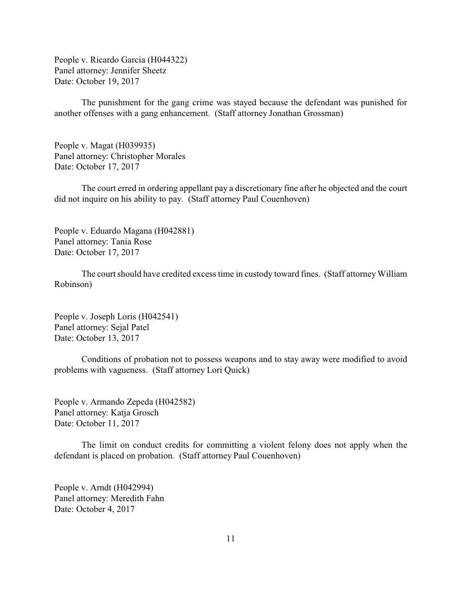People v. Ricardo Garcia (H044322) Panel attorney: Jennifer Sheetz Date: October 19, 2017

The punishment for the gang crime was stayed because the defendant was punished for another offenses with a gang enhancement. (Staff attorney Jonathan Grossman)

People v. Magat (H039935) Panel attorney: Christopher Morales Date: October 17, 2017

The court erred in ordering appellant pay a discretionary fine after he objected and the court did not inquire on his ability to pay. (Staff attorney Paul Couenhoven)

People v. Eduardo Magana (H042881) Panel attorney: Tania Rose Date: October 17, 2017

The court should have credited excess time in custody toward fines. (Staff attorney William Robinson)

People v. Joseph Loris (H042541) Panel attorney: Sejal Patel Date: October 13, 2017

Conditions of probation not to possess weapons and to stay away were modified to avoid problems with vagueness. (Staff attorney Lori Quick)

People v. Armando Zepeda (H042582) Panel attorney: Katja Grosch Date: October 11, 2017

The limit on conduct credits for committing a violent felony does not apply when the defendant is placed on probation. (Staff attorney Paul Couenhoven)

People v. Arndt (H042994) Panel attorney: Meredith Fahn Date: October 4, 2017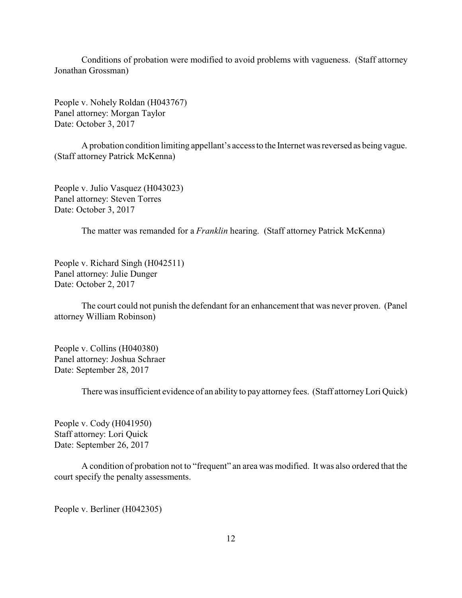Conditions of probation were modified to avoid problems with vagueness. (Staff attorney Jonathan Grossman)

People v. Nohely Roldan (H043767) Panel attorney: Morgan Taylor Date: October 3, 2017

A probation condition limiting appellant's access to the Internet was reversed as being vague. (Staff attorney Patrick McKenna)

People v. Julio Vasquez (H043023) Panel attorney: Steven Torres Date: October 3, 2017

The matter was remanded for a *Franklin* hearing. (Staff attorney Patrick McKenna)

People v. Richard Singh (H042511) Panel attorney: Julie Dunger Date: October 2, 2017

The court could not punish the defendant for an enhancement that was never proven. (Panel attorney William Robinson)

People v. Collins (H040380) Panel attorney: Joshua Schraer Date: September 28, 2017

There was insufficient evidence of an ability to pay attorney fees. (Staff attorneyLori Quick)

People v. Cody (H041950) Staff attorney: Lori Quick Date: September 26, 2017

A condition of probation not to "frequent" an area was modified. It was also ordered that the court specify the penalty assessments.

People v. Berliner (H042305)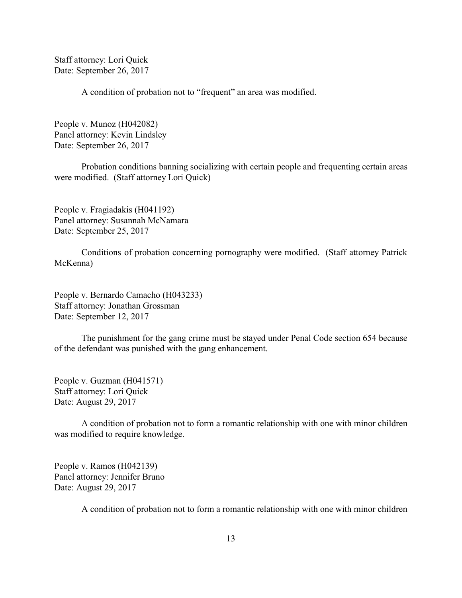Staff attorney: Lori Quick Date: September 26, 2017

A condition of probation not to "frequent" an area was modified.

People v. Munoz (H042082) Panel attorney: Kevin Lindsley Date: September 26, 2017

Probation conditions banning socializing with certain people and frequenting certain areas were modified. (Staff attorney Lori Quick)

People v. Fragiadakis (H041192) Panel attorney: Susannah McNamara Date: September 25, 2017

Conditions of probation concerning pornography were modified. (Staff attorney Patrick McKenna)

People v. Bernardo Camacho (H043233) Staff attorney: Jonathan Grossman Date: September 12, 2017

The punishment for the gang crime must be stayed under Penal Code section 654 because of the defendant was punished with the gang enhancement.

People v. Guzman (H041571) Staff attorney: Lori Quick Date: August 29, 2017

A condition of probation not to form a romantic relationship with one with minor children was modified to require knowledge.

People v. Ramos (H042139) Panel attorney: Jennifer Bruno Date: August 29, 2017

A condition of probation not to form a romantic relationship with one with minor children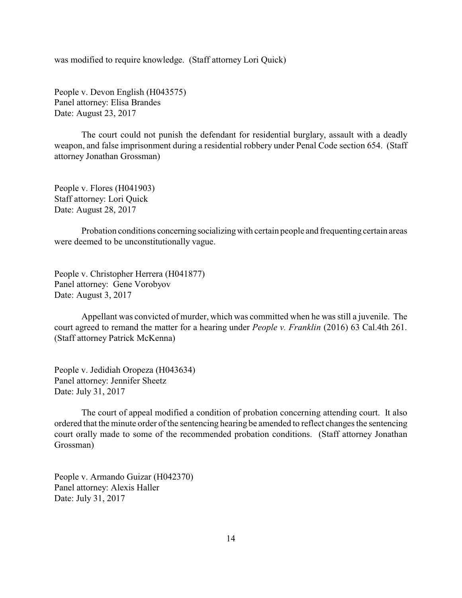was modified to require knowledge. (Staff attorney Lori Quick)

People v. Devon English (H043575) Panel attorney: Elisa Brandes Date: August 23, 2017

The court could not punish the defendant for residential burglary, assault with a deadly weapon, and false imprisonment during a residential robbery under Penal Code section 654. (Staff attorney Jonathan Grossman)

People v. Flores (H041903) Staff attorney: Lori Quick Date: August 28, 2017

Probation conditions concerning socializing with certain people and frequenting certain areas were deemed to be unconstitutionally vague.

People v. Christopher Herrera (H041877) Panel attorney: Gene Vorobyov Date: August 3, 2017

Appellant was convicted of murder, which was committed when he was still a juvenile. The court agreed to remand the matter for a hearing under *People v. Franklin* (2016) 63 Cal.4th 261. (Staff attorney Patrick McKenna)

People v. Jedidiah Oropeza (H043634) Panel attorney: Jennifer Sheetz Date: July 31, 2017

The court of appeal modified a condition of probation concerning attending court. It also ordered that the minute order of the sentencing hearing be amended to reflect changes the sentencing court orally made to some of the recommended probation conditions. (Staff attorney Jonathan Grossman)

People v. Armando Guizar (H042370) Panel attorney: Alexis Haller Date: July 31, 2017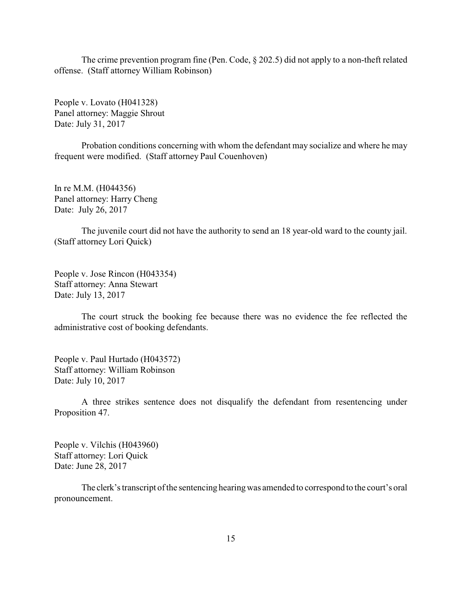The crime prevention program fine (Pen. Code, § 202.5) did not apply to a non-theft related offense. (Staff attorney William Robinson)

People v. Lovato (H041328) Panel attorney: Maggie Shrout Date: July 31, 2017

Probation conditions concerning with whom the defendant may socialize and where he may frequent were modified. (Staff attorney Paul Couenhoven)

In re M.M. (H044356) Panel attorney: Harry Cheng Date: July 26, 2017

The juvenile court did not have the authority to send an 18 year-old ward to the county jail. (Staff attorney Lori Quick)

People v. Jose Rincon (H043354) Staff attorney: Anna Stewart Date: July 13, 2017

The court struck the booking fee because there was no evidence the fee reflected the administrative cost of booking defendants.

People v. Paul Hurtado (H043572) Staff attorney: William Robinson Date: July 10, 2017

A three strikes sentence does not disqualify the defendant from resentencing under Proposition 47.

People v. Vilchis (H043960) Staff attorney: Lori Quick Date: June 28, 2017

The clerk's transcript of the sentencing hearingwas amended to correspond to the court's oral pronouncement.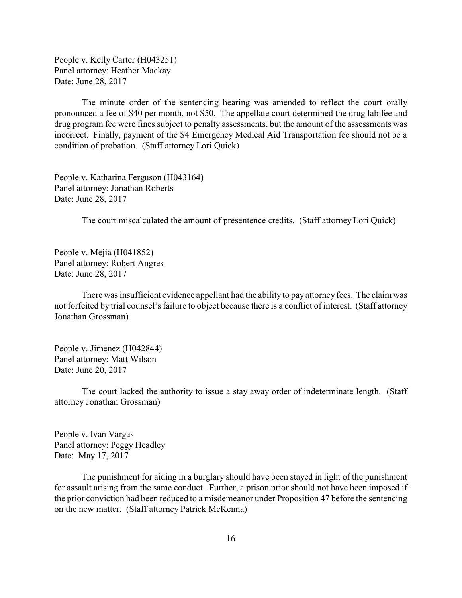People v. Kelly Carter (H043251) Panel attorney: Heather Mackay Date: June 28, 2017

The minute order of the sentencing hearing was amended to reflect the court orally pronounced a fee of \$40 per month, not \$50. The appellate court determined the drug lab fee and drug program fee were fines subject to penalty assessments, but the amount of the assessments was incorrect. Finally, payment of the \$4 Emergency Medical Aid Transportation fee should not be a condition of probation. (Staff attorney Lori Quick)

People v. Katharina Ferguson (H043164) Panel attorney: Jonathan Roberts Date: June 28, 2017

The court miscalculated the amount of presentence credits. (Staff attorney Lori Quick)

People v. Mejia (H041852) Panel attorney: Robert Angres Date: June 28, 2017

There was insufficient evidence appellant had the ability to pay attorney fees. The claim was not forfeited by trial counsel's failure to object because there is a conflict of interest. (Staff attorney Jonathan Grossman)

People v. Jimenez (H042844) Panel attorney: Matt Wilson Date: June 20, 2017

The court lacked the authority to issue a stay away order of indeterminate length. (Staff attorney Jonathan Grossman)

People v. Ivan Vargas Panel attorney: Peggy Headley Date: May 17, 2017

The punishment for aiding in a burglary should have been stayed in light of the punishment for assault arising from the same conduct. Further, a prison prior should not have been imposed if the prior conviction had been reduced to a misdemeanor under Proposition 47 before the sentencing on the new matter. (Staff attorney Patrick McKenna)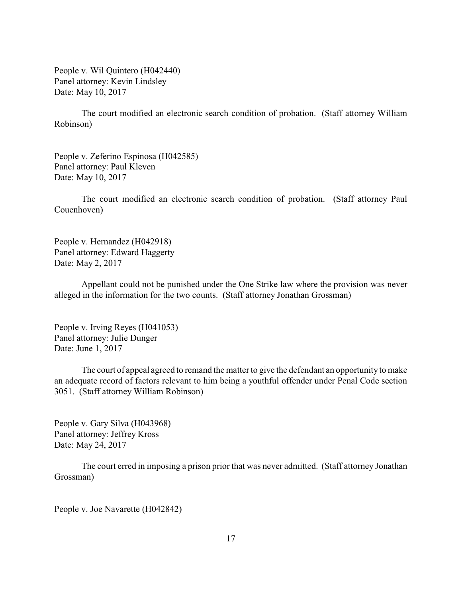People v. Wil Quintero (H042440) Panel attorney: Kevin Lindsley Date: May 10, 2017

The court modified an electronic search condition of probation. (Staff attorney William Robinson)

People v. Zeferino Espinosa (H042585) Panel attorney: Paul Kleven Date: May 10, 2017

The court modified an electronic search condition of probation. (Staff attorney Paul Couenhoven)

People v. Hernandez (H042918) Panel attorney: Edward Haggerty Date: May 2, 2017

Appellant could not be punished under the One Strike law where the provision was never alleged in the information for the two counts. (Staff attorney Jonathan Grossman)

People v. Irving Reyes (H041053) Panel attorney: Julie Dunger Date: June 1, 2017

The court of appeal agreed to remand the matter to give the defendant an opportunity to make an adequate record of factors relevant to him being a youthful offender under Penal Code section 3051. (Staff attorney William Robinson)

People v. Gary Silva (H043968) Panel attorney: Jeffrey Kross Date: May 24, 2017

The court erred in imposing a prison prior that was never admitted. (Staff attorney Jonathan Grossman)

People v. Joe Navarette (H042842)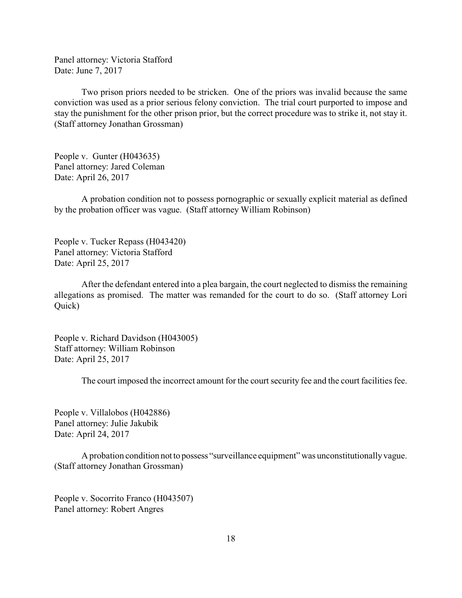Panel attorney: Victoria Stafford Date: June 7, 2017

Two prison priors needed to be stricken. One of the priors was invalid because the same conviction was used as a prior serious felony conviction. The trial court purported to impose and stay the punishment for the other prison prior, but the correct procedure was to strike it, not stay it. (Staff attorney Jonathan Grossman)

People v. Gunter (H043635) Panel attorney: Jared Coleman Date: April 26, 2017

A probation condition not to possess pornographic or sexually explicit material as defined by the probation officer was vague. (Staff attorney William Robinson)

People v. Tucker Repass (H043420) Panel attorney: Victoria Stafford Date: April 25, 2017

After the defendant entered into a plea bargain, the court neglected to dismiss the remaining allegations as promised. The matter was remanded for the court to do so. (Staff attorney Lori Quick)

People v. Richard Davidson (H043005) Staff attorney: William Robinson Date: April 25, 2017

The court imposed the incorrect amount for the court security fee and the court facilities fee.

People v. Villalobos (H042886) Panel attorney: Julie Jakubik Date: April 24, 2017

A probation condition not to possess "surveillance equipment" was unconstitutionally vague. (Staff attorney Jonathan Grossman)

People v. Socorrito Franco (H043507) Panel attorney: Robert Angres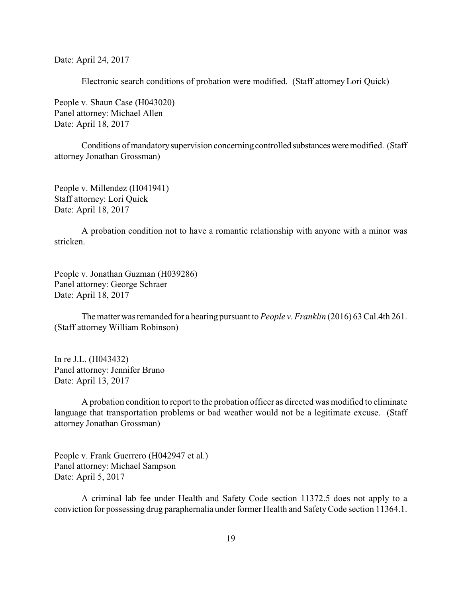Date: April 24, 2017

Electronic search conditions of probation were modified. (Staff attorney Lori Quick)

People v. Shaun Case (H043020) Panel attorney: Michael Allen Date: April 18, 2017

Conditions of mandatory supervision concerning controlled substances were modified. (Staff attorney Jonathan Grossman)

People v. Millendez (H041941) Staff attorney: Lori Quick Date: April 18, 2017

A probation condition not to have a romantic relationship with anyone with a minor was stricken.

People v. Jonathan Guzman (H039286) Panel attorney: George Schraer Date: April 18, 2017

The matter was remanded for a hearing pursuant to *People v. Franklin* (2016) 63 Cal.4th 261. (Staff attorney William Robinson)

In re J.L. (H043432) Panel attorney: Jennifer Bruno Date: April 13, 2017

A probation condition to report to the probation officer as directed was modified to eliminate language that transportation problems or bad weather would not be a legitimate excuse. (Staff attorney Jonathan Grossman)

People v. Frank Guerrero (H042947 et al.) Panel attorney: Michael Sampson Date: April 5, 2017

A criminal lab fee under Health and Safety Code section 11372.5 does not apply to a conviction for possessing drug paraphernalia under former Health and SafetyCode section 11364.1.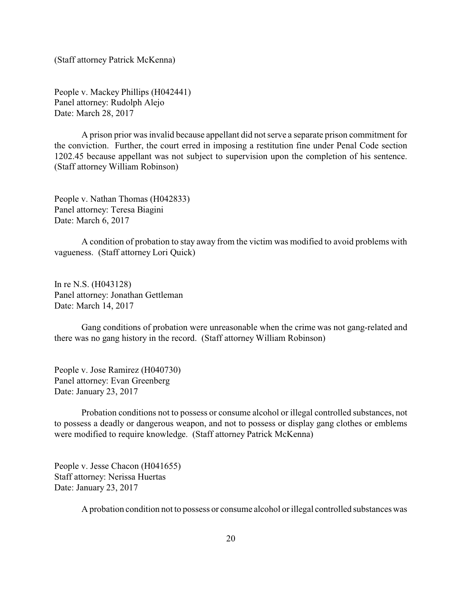(Staff attorney Patrick McKenna)

People v. Mackey Phillips (H042441) Panel attorney: Rudolph Alejo Date: March 28, 2017

A prison prior was invalid because appellant did not serve a separate prison commitment for the conviction. Further, the court erred in imposing a restitution fine under Penal Code section 1202.45 because appellant was not subject to supervision upon the completion of his sentence. (Staff attorney William Robinson)

People v. Nathan Thomas (H042833) Panel attorney: Teresa Biagini Date: March 6, 2017

A condition of probation to stay away from the victim was modified to avoid problems with vagueness. (Staff attorney Lori Quick)

In re N.S. (H043128) Panel attorney: Jonathan Gettleman Date: March 14, 2017

Gang conditions of probation were unreasonable when the crime was not gang-related and there was no gang history in the record. (Staff attorney William Robinson)

People v. Jose Ramirez (H040730) Panel attorney: Evan Greenberg Date: January 23, 2017

Probation conditions not to possess or consume alcohol or illegal controlled substances, not to possess a deadly or dangerous weapon, and not to possess or display gang clothes or emblems were modified to require knowledge. (Staff attorney Patrick McKenna)

People v. Jesse Chacon (H041655) Staff attorney: Nerissa Huertas Date: January 23, 2017

A probation condition not to possess or consume alcohol or illegal controlled substances was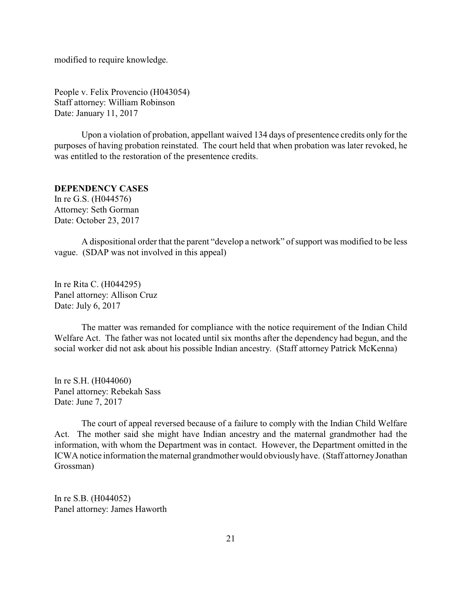<span id="page-20-0"></span>modified to require knowledge.

People v. Felix Provencio (H043054) Staff attorney: William Robinson Date: January 11, 2017

Upon a violation of probation, appellant waived 134 days of presentence credits only for the purposes of having probation reinstated. The court held that when probation was later revoked, he was entitled to the restoration of the presentence credits.

#### **DEPENDENCY CASES**

In re G.S. (H044576) Attorney: Seth Gorman Date: October 23, 2017

A dispositional order that the parent "develop a network" of support was modified to be less vague. (SDAP was not involved in this appeal)

In re Rita C. (H044295) Panel attorney: Allison Cruz Date: July 6, 2017

The matter was remanded for compliance with the notice requirement of the Indian Child Welfare Act. The father was not located until six months after the dependency had begun, and the social worker did not ask about his possible Indian ancestry. (Staff attorney Patrick McKenna)

In re S.H. (H044060) Panel attorney: Rebekah Sass Date: June 7, 2017

The court of appeal reversed because of a failure to comply with the Indian Child Welfare Act. The mother said she might have Indian ancestry and the maternal grandmother had the information, with whom the Department was in contact. However, the Department omitted in the ICWA notice information the maternal grandmother would obviouslyhave. (Staff attorneyJonathan Grossman)

In re S.B. (H044052) Panel attorney: James Haworth